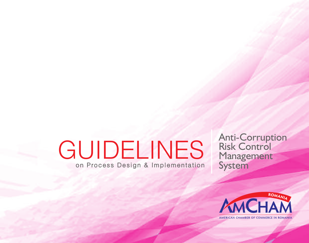# **GUIDELINES** on Process Design & Implementation

Anti-Corruption Risk Control Management **System** 

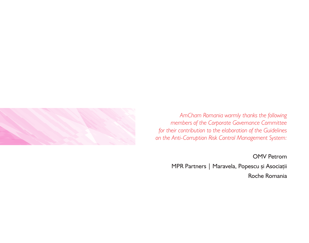

*AmCham Romania warmly thanks the following members of the Corporate Governance Committee for their contribution to the elaboration of the Guidelines on the Anti-Corruption Risk Control Management System:*

OMV Petrom

MPR Partners | Maravela, Popescu și Asociații Roche Romania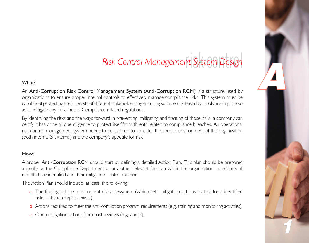## riskcontrol *Risk Control Management System Design*

5

 $\sqrt{2}$ 

## What?

An Anti-Corruption Risk Control Management System (Anti-Corruption RCM) is a structure used by organizations to ensure proper internal controls to effectively manage compliance risks. This system must be capable of protecting the interests of different stakeholders by ensuring suitable risk-based controls are in place so as to mitigate any breaches of Compliance related regulations.

By identifying the risks and the ways forward in preventing, mitigating and treating of those risks, a company can certify it has done all due diligence to protect itself from threats related to compliance breaches. An operational risk control management system needs to be tailored to consider the specific environment of the organization (both internal & external) and the company's appetite for risk.

### How?

A proper Anti-Corruption RCM should start by defining a detailed Action Plan. This plan should be prepared annually by the Compliance Department or any other relevant function within the organization, to address all risks that are identified and their mitigation control method.

The Action Plan should include, at least, the following:

- a. The findings of the most recent risk assessment (which sets mitigation actions that address identified risks – if such report exists);
- b. Actions required to meet the anti-corruption program requirements (e.g. training and monitoring activities);
- c. Open mitigation actions from past reviews (e.g. audits);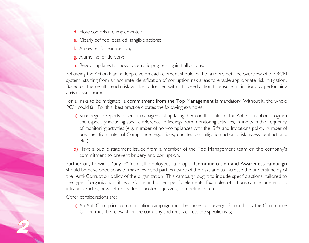- d. How controls are implemented;
- e. Clearly defined, detailed, tangible actions;
- f. An owner for each action;
- g. A timeline for delivery;
- h. Regular updates to show systematic progress against all actions.

Following the Action Plan, a deep dive on each element should lead to a more detailed overview of the RCM system, starting from an accurate identification of corruption risk areas to enable appropriate risk mitigation. Based on the results, each risk will be addressed with a tailored action to ensure mitigation, by performing a risk assessment.

For all risks to be mitigated, a **commitment from the Top Management** is mandatory. Without it, the whole RCM could fail. For this, best practice dictates the following examples:

- a) Send regular reports to senior management updating them on the status of the Anti-Corruption program and especially including specific reference to findings from monitoring activities, in line with the frequency of monitoring activities (e.g. number of non-compliances with the Gifts and Invitations policy, number of breaches from internal Compliance regulations, updated on mitigation actions, risk assessment actions, etc.);
- b) Have a public statement issued from a member of the Top Management team on the company's commitment to prevent bribery and corruption.

Further on, to win a "buy-in" from all employees, a proper **Communication and Awareness campaign** should be developed so as to make involved parties aware of the risks and to increase the understanding of the Anti-Corruption policy of the organization. This campaign ought to include specific actions, tailored to the type of organization, its workforce and other specific elements. Examples of actions can include emails, intranet articles, newsletters, videos, posters, quizzes, competitions, etc.

Other considerations are:

2

a) An Anti-Corruption communication campaign must be carried out every 12 months by the Compliance Officer, must be relevant for the company and must address the specific risks;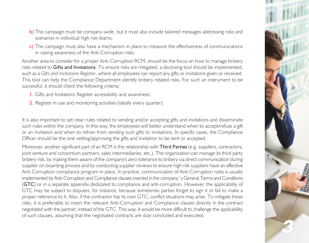- b) The campaign must be company-wide, but it must also include tailored messages addressing risks and scenarios in individual high risk teams;
- c) The campaign must also have a mechanism in place to measure the effectiveness of communications in raising awareness of the Anti-Corruption risks.

Another area to consider for a proper Anti-Corruption RCM, should be the focus on how to manage bribery risks related to Gifts and Invitations. To ensure risks are mitigated, a disclosing tool should be implemented, such as a *Gifts and Invitations Register*, where all employees can report any gifts or invitations given or received. This tool can help the Compliance Department identify bribery related risks. For such an instrument to be successful, it should check the following criteria:

- 1. Gifts and Invitations Register accessibility and awareness;
- 2. Register in use and monitoring activities (ideally every quarter).

It is also important to set clear rules related to sending and/or accepting gifts and invitations and disseminate such rules within the company. In this way, the employees will better understand when to accept/refuse a gift or an invitation and when to refrain from sending such gifts or invitations. In specific cases, the Compliance Officer should be the one vetting/approving the gifts and invitation to be sent or accepted.

Moreover, another significant part of an RCM is the relationship with **Third Parties** (e.g. suppliers, contractors, joint venture and consortium partners, sales intermediaries, etc.). The organization can manage its third party bribery risk, by making them aware of the company's zero tolerance to bribery via direct communication during supplier on-boarding process and by conducting supplier reviews to ensure high risk suppliers have an effective Anti-Corruption compliance program in place. In practice, communication of Anti-Corruption rules is usually implemented by Anti-Corruption and Compliance clauses inserted in the company`s General Terms and Conditions (GTC) or in a separate appendix dedicated to compliance and anti-corruption. However, the applicability of GTC may be subject to disputes, for instance, because sometimes parties forget to sign it or fail to make a proper reference to it. Also, if the contractor has its own GTC, conflict situations may arise. To mitigate these risks, it is preferable to insert the relevant Anti-Corruption and Compliance clauses directly in the contract negotiated with the partner, instead of the GTC. This way, it would be more difficult to challenge the applicability of such clauses, assuming that the negotiated contracts are duly concluded and executed.

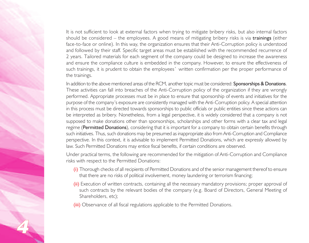It is not sufficient to look at external factors when trying to mitigate bribery risks, but also internal factors should be considered – the employees. A good means of mitigating bribery risks is via trainings (either face-to-face or online). In this way, the organization ensures that their Anti-Corruption policy is understood and followed by their staff. Specific target areas must be established with the recommended recurrence of 2 years. Tailored materials for each segment of the company could be designed to increase the awareness and ensure the compliance culture is embedded in the company. However, to ensure the effectiveness of such trainings, it is prudent to obtain the employees` written confirmation per the proper performance of the trainings.

In addition to the above mentioned areas of the RCM, another topic must be considered: Sponsorships & Donations. These activities can fall into breaches of the Anti-Corruption policy of the organization if they are wrongly performed. Appropriate processes must be in place to ensure that sponsorship of events and initiatives for the purpose of the company's exposure are consistently managed with the Anti-Corruption policy. A special attention in this process must be directed towards sponsorships to public officials or public entities since these actions can be interpreted as bribery. Nonetheless, from a legal perspective, it is widely considered that a company is not supposed to make donations other than sponsorships, scholarships and other forms with a clear tax and legal regime (Permitted Donations), considering that it is important for a company to obtain certain benefits through such initiatives. Thus, such donations may be presumed as inappropriate also from Anti-Corruption and Compliance perspective. In this context, it is advisable to implement Permitted Donations, which are expressly allowed by law. Such Permitted Donations may entice fiscal benefits, if certain conditions are observed.

Under practical terms, the following are recommended for the mitigation of Anti-Corruption and Compliance risks with respect to the Permitted Donations:

- (i) Thorough checks of all recipients of Permitted Donations and of the senior management thereof to ensure that there are no risks of political involvement, money laundering or terrorism financing;
- (ii) Execution of written contracts, containing all the necessary mandatory provisions; proper approval of such contracts by the relevant bodies of the company (e.g. Board of Directors, General Meeting of Shareholders, etc);
- (iii) Observance of all fiscal regulations applicable to the Permitted Donations.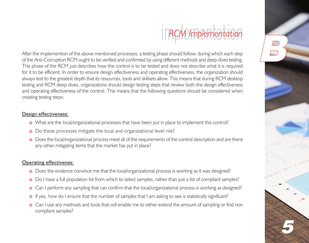#### im*RC*p*M*le*<sup>I</sup>* lmf mple *le*  $\frac{1}{2}$ *m*t *e* en<br>S *n*t *ta*io*tio*  $\frac{1}{2}$ *n*

5

 $\left| \frac{B}{D} \right|$ 

After the implemention of the above mentioned processes, a testing phase should follow, during which each step of the Anti-Corruption RCM ought to be verified and confirmed by using different methods and deep dives testing. This phase of the RCM just describes how the control is to be tested and does not describe what it is required for it to be efficient. In order to ensure design effectiveness and operating effectiveness, the organization should always test to the greatest depth that its resources, tools and skillsets allow. This means that during RCM desktop testing and RCM deep dives, organizations should design testing steps that review both the design effectiveness and operating effectiveness of the control. This means that the following questions should be considered when creating testing steps:

## Design effectiveness:

- o What are the local/organizational processes that have been put in place to implement this control?
- o Do these processes mitigate the local and organizational level risk?
- o Does the local/organizational process meet all of the requirements of the control description and are there any other mitigating items that the market has put in place?

## Operating effectivenes:

- o Does the evidence convince me that the local/organizational process is working as it was designed?
- o Do I have a full population list from which to select samples, rather than just a list of compliant samples?
- o Can I perform any sampling that can confirm that the local/organizational process is working as designed?
- o If yes, how do I ensure that the number of samples that I am asking to see is statistically significant?
- o Can I use any methods and tools that will enable me to either extend the amount of sampling or find non compliant samples?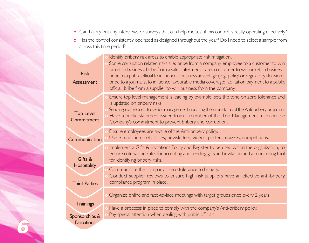- o Can I carry out any interviews or surveys that can help me test if this control is really operating effectively?
- o Has the control consistently operated as designed throughout the year? Do I need to select a sample from across this time period?

| <b>Risk</b><br>Assessment                       | Identify bribery risk areas to enable appropriate risk mitigation.<br>Some corruption related risks are: bribe from a company employee to a customer to win<br>or retain business; bribe from a sales intermediary to a customer to win or retain business;<br>bribe to a public official to influence a business advantage (e.g. policy or regulatory decision);<br>bribe to a journalist to influence favourable media coverage; facilitation payment to a public<br>official; bribe from a supplier to win business from the company. |
|-------------------------------------------------|------------------------------------------------------------------------------------------------------------------------------------------------------------------------------------------------------------------------------------------------------------------------------------------------------------------------------------------------------------------------------------------------------------------------------------------------------------------------------------------------------------------------------------------|
| <b>Top Level</b><br>Commitment                  | Ensure top level management is leading by example, sets the tone on zero tolerance and<br>is updated on bribery risks.<br>Send regular reports to senior management updating them on status of the Anti-bribery program.<br>Have a public statement issued from a member of the Top Management team on the<br>Company's commitment to prevent bribery and corruption.                                                                                                                                                                    |
| Communication                                   | Ensure employees are aware of the Anti-bribery policy.<br>Use e-mails, intranet articles, newsletters, videos, posters, quizzes, competitions.                                                                                                                                                                                                                                                                                                                                                                                           |
| Gifts &                                         | Implement a Gifts & Invitations Policy and Register to be used within the organization, to<br>ensure criteria and rules for accepting and sending gifts and invitation and a monitoring tool<br>for identifying bribery risks.                                                                                                                                                                                                                                                                                                           |
| <b>Hospitality</b><br><b>Third Parties</b>      | Communicate the company's zero tolerance to bribery.<br>Conduct supplier reviews to ensure high risk suppliers have an effective anti-bribery<br>compliance program in place.                                                                                                                                                                                                                                                                                                                                                            |
|                                                 | Organize online and face-to-face meetings with target groups once every 2 years.                                                                                                                                                                                                                                                                                                                                                                                                                                                         |
| Trainings<br>Sponsorships &<br><b>Donations</b> | Have a proccess in place to comply with the company's Anti-bribery policy.<br>Pay special attention when dealing with public officials.                                                                                                                                                                                                                                                                                                                                                                                                  |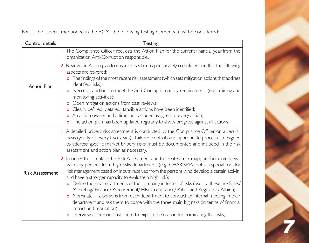For all the aspects mentioned in the RCM, the following testing elements must be considered:

| Control details        | <b>Testing</b>                                                                                                                                                                                                                                                                                                                                                                                                                                                                                                                                                                                                                                                                                                                                                                                                     |
|------------------------|--------------------------------------------------------------------------------------------------------------------------------------------------------------------------------------------------------------------------------------------------------------------------------------------------------------------------------------------------------------------------------------------------------------------------------------------------------------------------------------------------------------------------------------------------------------------------------------------------------------------------------------------------------------------------------------------------------------------------------------------------------------------------------------------------------------------|
|                        | I. The Compliance Officer requests the Action Plan for the current financial year from the<br>organization Anti-Corruption responsible.                                                                                                                                                                                                                                                                                                                                                                                                                                                                                                                                                                                                                                                                            |
| <b>Action Plan</b>     | 2. Review the Action plan to ensure it has been appropriately completed and that the following<br>aspects are covered:<br>o The findings of the most recent risk assessment (which sets mitigation actions that address<br>identified risks);<br>o Neccesary actions to meet the Anti-Corruption policy requirements (e.g. training and<br>monitoring activities);<br><b>o</b> Open mitigation actions from past reviews;<br>o Clearly defined, detailed, tangible actions have been identified;<br>o An action owner and a timeline has been assigned to every action;<br>o The action plan has been updated regularly to show progress against all actions.                                                                                                                                                      |
| <b>Risk Assessment</b> | I. A detailed bribery risk assessment is conducted by the Compliance Officer on a regular<br>basis (yearly or every two years). Tailored controls and appropriate processes designed<br>to address specific market bribery risks must be documented and included in the risk<br>assessment and action plan as necessary.                                                                                                                                                                                                                                                                                                                                                                                                                                                                                           |
|                        | 2. In order to complete the Risk Assessment and to create a risk map, perform interviews<br>with key persons from high risks departments (e.g. CHARISMA tool is a special tool for<br>risk management based on inputs received from the persons who develop a certain activity<br>and have a stronger capacity to evaluate a high risk):<br>o Define the key departments of the company in terms of risks (usually, these are Sales/<br>Marketing/Finance/Procurement/HR/Compliance/Public and Regulatory Affairs);<br>o Nominate 1-2 persons from each department to conduct an internal meeting in their<br>department and ask them to come with the three main big risks (in terms of financial<br>impact and reputation);<br>o Interview all persons, ask them to explain the reason for nominating the risks; |

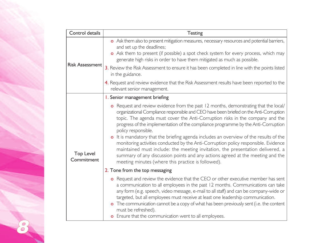| Control details                | Testing                                                                                                                                                                                                                                                                                                                                                                                                                                                                                                                                                                                                                                                                                                                                                                               |
|--------------------------------|---------------------------------------------------------------------------------------------------------------------------------------------------------------------------------------------------------------------------------------------------------------------------------------------------------------------------------------------------------------------------------------------------------------------------------------------------------------------------------------------------------------------------------------------------------------------------------------------------------------------------------------------------------------------------------------------------------------------------------------------------------------------------------------|
| <b>Risk Assessment</b>         | o Ask them also to present mitigation measures, necessary resources and potential barriers,<br>and set up the deadlines;<br>o Ask them to present (if possible) a spot check system for every process, which may<br>generate high risks in order to have them mitigated as much as possible.                                                                                                                                                                                                                                                                                                                                                                                                                                                                                          |
|                                | 3. Review the Risk Assessment to ensure it has been completed in line with the points listed<br>in the guidance.                                                                                                                                                                                                                                                                                                                                                                                                                                                                                                                                                                                                                                                                      |
|                                | 4. Request and review evidence that the Risk Assessment results have been reported to the<br>relevant senior management.                                                                                                                                                                                                                                                                                                                                                                                                                                                                                                                                                                                                                                                              |
|                                | I. Senior management briefing                                                                                                                                                                                                                                                                                                                                                                                                                                                                                                                                                                                                                                                                                                                                                         |
| <b>Top Level</b><br>Commitment | o Request and review evidence from the past 12 months, demonstrating that the local/<br>organizational Compliance responsible and CEO have been briefed on the Anti-Corruption<br>topic. The agenda must cover the Anti-Corruption risks in the company and the<br>progress of the implementation of the compliance programme by the Anti-Corruption<br>policy responsible.<br>o It is mandatory that the briefing agenda includes an overview of the results of the<br>monitoring activities conducted by the Anti-Corruption policy responsible. Evidence<br>maintained must include: the meeting invitation, the presentation delivered, a<br>summary of any discussion points and any actions agreed at the meeting and the<br>meeting minutes (where this practice is followed). |
|                                | 2. Tone from the top messaging                                                                                                                                                                                                                                                                                                                                                                                                                                                                                                                                                                                                                                                                                                                                                        |
|                                | o Request and review the evidence that the CEO or other executive member has sent<br>a communication to all employees in the past 12 months. Communications can take<br>any form (e.g. speech, video message, e-mail to all staff) and can be company-wide or<br>targeted, but all employees must receive at least one leadership communication.<br>o The communication cannot be a copy of what has been previously sent (i.e. the content<br>must be refreshed).<br><b>o</b> Ensure that the communication went to all employees.                                                                                                                                                                                                                                                   |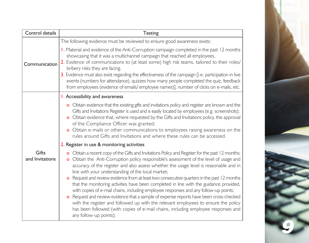| Control details          | <b>Testing</b>                                                                                                                                                                                                                                                                                                                                                                                                                                                                                                                                                                                                                                                                                                                                                                                                                                                                                                       |
|--------------------------|----------------------------------------------------------------------------------------------------------------------------------------------------------------------------------------------------------------------------------------------------------------------------------------------------------------------------------------------------------------------------------------------------------------------------------------------------------------------------------------------------------------------------------------------------------------------------------------------------------------------------------------------------------------------------------------------------------------------------------------------------------------------------------------------------------------------------------------------------------------------------------------------------------------------|
| Communication            | The following evidence must be reviewed to ensure good awareness exists:                                                                                                                                                                                                                                                                                                                                                                                                                                                                                                                                                                                                                                                                                                                                                                                                                                             |
|                          | I. Material and evidence of the Anti-Corruption campaign completed in the past 12 months<br>showcasing that it was a multichannel campaign that reached all employees.<br>2. Evidence of communications to (at least some) high risk teams, tailored to their roles/<br>bribery risks they are facing.<br>3. Evidence must also exist regarding the effectiveness of the campaign [i.e. participation in live<br>events (numbers for attendance), quizzes how many people completed the quiz, feedback<br>from employees (evidence of emails/employee names)], number of clicks on e-mails, etc.                                                                                                                                                                                                                                                                                                                     |
|                          | I. Accessibility and awareness                                                                                                                                                                                                                                                                                                                                                                                                                                                                                                                                                                                                                                                                                                                                                                                                                                                                                       |
|                          | o Obtain evidence that the existing gifts and invitations policy and register are known and the<br>Gifts and Invitations Register is used and is easily located by employees (e.g. screenshots);<br>o Obtain evidence that, where requested by the Gifts and Invitations policy, the approval<br>of the Compliance Officer was granted;<br>o Obtain e-mails or other communications to employees raising awareness on the<br>rules around Gifts and Invitations and where these rules can be accessed.                                                                                                                                                                                                                                                                                                                                                                                                               |
|                          | 2. Register in use & monitoring activities                                                                                                                                                                                                                                                                                                                                                                                                                                                                                                                                                                                                                                                                                                                                                                                                                                                                           |
| Gifts<br>and Invitations | o Obtain a recent copy of the Gifts and Invitations Policy and Register for the past 12 months;<br>o Obtain the Anti-Corruption policy responsible's assessment of the level of usage and<br>accuracy of the register and also assess whether the usage level is reasonable and in<br>line with your understanding of the local market;<br>o Request and review evidence from at least two consecutive quarters in the past 12 months<br>that the monitoring activities have been completed in line with the guidance provided,<br>with copies of e-mail chains, including employee responses and any follow-up points;<br>Request and review evidence that a sample of expense reports have been cross-checked<br>with the register and followed up with the relevant employees to ensure the policy<br>has been followed (with copies of e-mail chains, including employee responses and<br>any follow-up points); |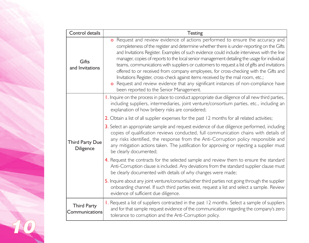| Control details                      | <b>Testing</b>                                                                                                                                                                                                                                                                                                                                                                                                                                                                                                                                                                                                                                                                                                                                                                        |
|--------------------------------------|---------------------------------------------------------------------------------------------------------------------------------------------------------------------------------------------------------------------------------------------------------------------------------------------------------------------------------------------------------------------------------------------------------------------------------------------------------------------------------------------------------------------------------------------------------------------------------------------------------------------------------------------------------------------------------------------------------------------------------------------------------------------------------------|
| Gifts<br>and Invitations             | o Request and review evidence of actions performed to ensure the accuracy and<br>completeness of the register and determine whether there is under-reporting on the Gifts<br>and Invitations Register. Examples of such evidence could include interviews with the line<br>manager, copies of reports to the local senior management detailing the usage for individual<br>teams, communications with suppliers or customers to request a list of gifts and invitations<br>offered to or received from company employees, for cross-checking with the Gifts and<br>Invitations Register, cross-check against items received by the mail room, etc.;<br>o Request and review evidence that any significant instances of non-compliance have<br>been reported to the Senior Management. |
|                                      | I. Inquire on the process in place to conduct appropriate due diligence of all new third parties,<br>including suppliers, intermediaries, joint venture/consortium parties, etc., including an<br>explanation of how bribery risks are considered;                                                                                                                                                                                                                                                                                                                                                                                                                                                                                                                                    |
|                                      | 2. Obtain a list of all supplier expenses for the past 12 months for all related activities;                                                                                                                                                                                                                                                                                                                                                                                                                                                                                                                                                                                                                                                                                          |
| <b>Third Party Due</b><br>Diligence  | 3. Select an appropriate sample and request evidence of due diligence performed, including<br>copies of qualification reviews conducted, full communication chains with details of<br>any risks identified, the response from the Anti-Corruption policy responsible and<br>any mitigation actions taken. The justification for approving or rejecting a supplier must<br>be clearly documented;                                                                                                                                                                                                                                                                                                                                                                                      |
|                                      | 4. Request the contracts for the selected sample and review them to ensure the standard<br>Anti-Corruption clause is included. Any deviations from the standard supplier clause must<br>be clearly documented with details of why changes were made;                                                                                                                                                                                                                                                                                                                                                                                                                                                                                                                                  |
|                                      | 5. Inquire about any joint venture/consortia/other third parties not going through the supplier<br>onboarding channel. If such third parties exist, request a list and select a sample. Review<br>evidence of sufficient due diligence.                                                                                                                                                                                                                                                                                                                                                                                                                                                                                                                                               |
| <b>Third Party</b><br>Communications | I. Request a list of suppliers contracted in the past 12 months. Select a sample of suppliers<br>and for that sample request evidence of the communication regarding the company's zero<br>tolerance to corruption and the Anti-Corruption policy.                                                                                                                                                                                                                                                                                                                                                                                                                                                                                                                                    |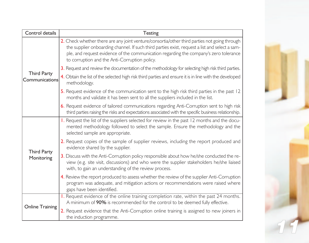| Control details                      | Testing                                                                                                                                                                                                                                                                                                                                  |
|--------------------------------------|------------------------------------------------------------------------------------------------------------------------------------------------------------------------------------------------------------------------------------------------------------------------------------------------------------------------------------------|
|                                      | 2. Check whether there are any joint venture/consortia/other third parties not going through<br>the supplier onboarding channel. If such third parties exist, request a list and select a sam-<br>ple, and request evidence of the communication regarding the company's zero tolerance<br>to corruption and the Anti-Corruption policy. |
|                                      | 3. Request and review the documentation of the methodology for selecting high risk third parties.                                                                                                                                                                                                                                        |
| <b>Third Party</b><br>Communications | 4. Obtain the list of the selected high risk third parties and ensure it is in line with the developed<br>methodology.                                                                                                                                                                                                                   |
|                                      | 5. Request evidence of the communication sent to the high risk third parties in the past 12<br>months and validate it has been sent to all the suppliers included in the list.                                                                                                                                                           |
|                                      | 6. Request evidence of tailored communications regarding Anti-Corruption sent to high risk<br>third parties raising the risks and expectations associated with the specific business relationship.                                                                                                                                       |
| <b>Third Party</b><br>Monitoring     | 1. Request the list of the suppliers selected for review in the past 12 months and the docu-<br>mented methodology followed to select the sample. Ensure the methodology and the<br>selected sample are appropriate.                                                                                                                     |
|                                      | 2. Request copies of the sample of supplier reviews, including the report produced and<br>evidence shared by the supplier.                                                                                                                                                                                                               |
|                                      | 3. Discuss with the Anti-Corruption policy responsible about how he/she conducted the re-<br>view (e.g. site visit, discussions) and who were the supplier stakeholders he/she liaised<br>with, to gain an understanding of the review process.                                                                                          |
|                                      | 4. Review the report produced to assess whether the review of the supplier Anti-Corruption<br>program was adequate, and mitigation actions or recommendations were raised where<br>gaps have been identified.                                                                                                                            |
| <b>Online Training</b>               | I. Request evidence of the online training completion rate, within the past 24 months.<br>A minimum of 90% is recommended for the control to be deemed fully effective.                                                                                                                                                                  |
|                                      | 2. Request evidence that the Anti-Corruption online training is assigned to new joiners in<br>the induction programme.                                                                                                                                                                                                                   |

П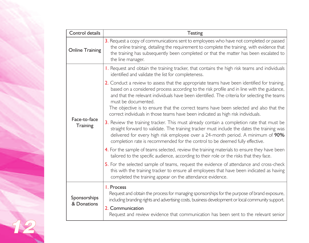| Control details             | Testing                                                                                                                                                                                                                                                                                                                                                                                                                                                                                        |
|-----------------------------|------------------------------------------------------------------------------------------------------------------------------------------------------------------------------------------------------------------------------------------------------------------------------------------------------------------------------------------------------------------------------------------------------------------------------------------------------------------------------------------------|
| <b>Online Training</b>      | 3. Request a copy of communications sent to employees who have not completed or passed<br>the online training, detailing the requirement to complete the training, with evidence that<br>the training has subsequently been completed or that the matter has been escalated to<br>the line manager.                                                                                                                                                                                            |
| Face-to-face<br>Training    | I. Request and obtain the training tracker, that contains the high risk teams and individuals<br>identified and validate the list for completeness.                                                                                                                                                                                                                                                                                                                                            |
|                             | 2. Conduct a review to assess that the appropriate teams have been identified for training,<br>based on a considered process according to the risk profile and in line with the guidance,<br>and that the relevant individuals have been identified. The criteria for selecting the teams<br>must be documented.<br>The objective is to ensure that the correct teams have been selected and also that the<br>correct individuals in those teams have been indicated as high risk individuals. |
|                             | 3. Review the training tracker. This must already contain a completion rate that must be<br>straight forward to validate. The training tracker must include the dates the training was<br>delivered for every high risk employee over a 24-month period. A minimum of 90%<br>completion rate is recommended for the control to be deemed fully effective.                                                                                                                                      |
|                             | 4. For the sample of teams selected, review the training materials to ensure they have been<br>tailored to the specific audience, according to their role or the risks that they face.                                                                                                                                                                                                                                                                                                         |
|                             | 5. For the selected sample of teams, request the evidence of attendance and cross-check<br>this with the training tracker to ensure all employees that have been indicated as having<br>completed the training appear on the attendance evidence.                                                                                                                                                                                                                                              |
| Sponsorships<br>& Donations | I. Process<br>Request and obtain the process for managing sponsorships for the purpose of brand exposure,<br>including branding rights and advertising costs, business development or local community support.<br>2. Communication<br>Request and review evidence that communication has been sent to the relevant senior                                                                                                                                                                      |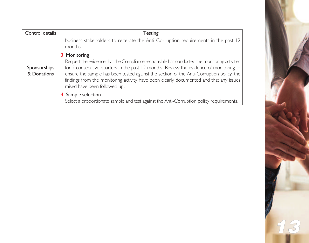| Control details             | Testing                                                                                                                                                                                                                                                                                                                                                                                                                        |
|-----------------------------|--------------------------------------------------------------------------------------------------------------------------------------------------------------------------------------------------------------------------------------------------------------------------------------------------------------------------------------------------------------------------------------------------------------------------------|
|                             | business stakeholders to reiterate the Anti-Corruption requirements in the past 12<br>months.                                                                                                                                                                                                                                                                                                                                  |
| Sponsorships<br>& Donations | 3. Monitoring<br>Request the evidence that the Compliance responsible has conducted the monitoring activities<br>for 2 consecutive quarters in the past 12 months. Review the evidence of monitoring to<br>ensure the sample has been tested against the section of the Anti-Corruption policy, the<br>findings from the monitoring activity have been clearly documented and that any issues<br>raised have been followed up. |
|                             | 4. Sample selection<br>Select a proportionate sample and test against the Anti-Corruption policy requirements.                                                                                                                                                                                                                                                                                                                 |

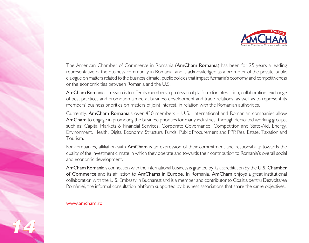

The American Chamber of Commerce in Romania (AmCham Romania) has been for 25 years a leading representative of the business community in Romania, and is acknowledged as a promoter of the private-public dialogue on matters related to the business climate, public policies that impact Romania's economy and competitiveness or the economic ties between Romania and the U.S.

AmCham Romania's mission is to offer its members a professional platform for interaction, collaboration, exchange of best practices and promotion aimed at business development and trade relations, as well as to represent its members' business priorities on matters of joint interest, in relation with the Romanian authorities.

Currently, AmCham Romania's over 430 members – U.S., international and Romanian companies allow AmCham to engage in promoting the business priorities for many industries, through dedicated working groups, such as: Capital Markets & Financial Services, Corporate Governance, Competition and State-Aid, Energy, Environment, Health, Digital Economy, Structural Funds, Public Procurement and PPP, Real Estate, Taxation and Tourism.

For companies, affiliation with **AmCham** is an expression of their commitment and responsibility towards the quality of the investment climate in which they operate and towards their contribution to Romania's overall social and economic development.

AmCham Romania's connection with the international business is granted by its accreditation by the U.S. Chamber of Commerce and its affiliation to AmChams in Europe. In Romania, AmCham enjoys a great institutional collaboration with the U.S. Embassy in Bucharest and is a member and contributor to Coaliția pentru Dezvoltarea României, the informal consultation platform supported by business associations that share the same objectives.

### www.amcham.ro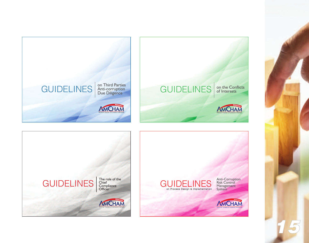